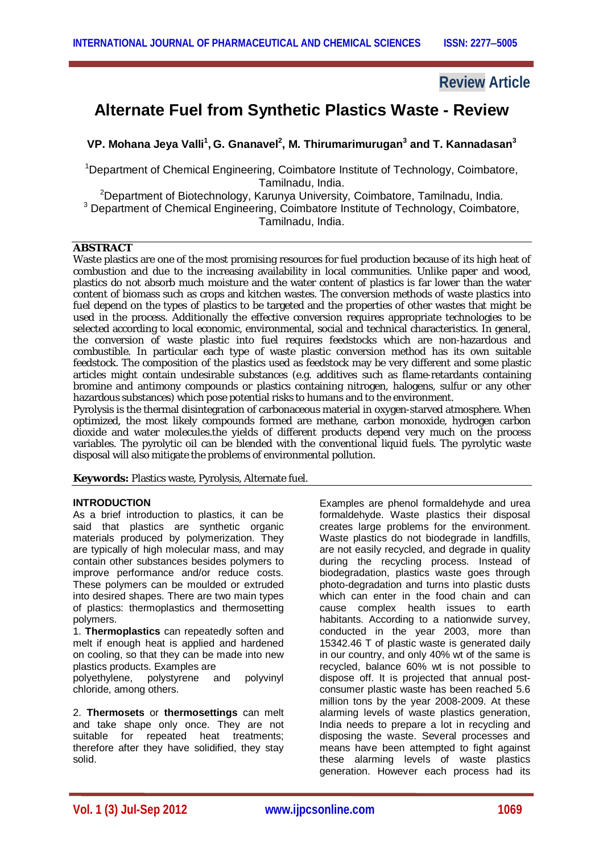# **Review Article**

# **Alternate Fuel from Synthetic Plastics Waste - Review**

**VP. Mohana Jeya Valli<sup>1</sup> , G. Gnanavel<sup>2</sup> , M. Thirumarimurugan<sup>3</sup> and T. Kannadasan<sup>3</sup>**

<sup>1</sup>Department of Chemical Engineering, Coimbatore Institute of Technology, Coimbatore, Tamilnadu, India.

<sup>2</sup>Department of Biotechnology, Karunya University, Coimbatore, Tamilnadu, India. <sup>3</sup> Department of Chemical Engineering, Coimbatore Institute of Technology, Coimbatore, Tamilnadu, India.

#### **ABSTRACT**

Waste plastics are one of the most promising resources for fuel production because of its high heat of combustion and due to the increasing availability in local communities. Unlike paper and wood, plastics do not absorb much moisture and the water content of plastics is far lower than the water content of biomass such as crops and kitchen wastes. The conversion methods of waste plastics into fuel depend on the types of plastics to be targeted and the properties of other wastes that might be used in the process. Additionally the effective conversion requires appropriate technologies to be selected according to local economic, environmental, social and technical characteristics. In general, the conversion of waste plastic into fuel requires feedstocks which are non-hazardous and combustible. In particular each type of waste plastic conversion method has its own suitable feedstock. The composition of the plastics used as feedstock may be very different and some plastic articles might contain undesirable substances (e.g. additives such as flame-retardants containing bromine and antimony compounds or plastics containing nitrogen, halogens, sulfur or any other hazardous substances) which pose potential risks to humans and to the environment.

Pyrolysis is the thermal disintegration of carbonaceous material in oxygen-starved atmosphere. When optimized, the most likely compounds formed are methane, carbon monoxide, hydrogen carbon dioxide and water molecules.the yields of different products depend very much on the process variables. The pyrolytic oil can be blended with the conventional liquid fuels. The pyrolytic waste disposal will also mitigate the problems of environmental pollution.

**Keywords:** Plastics waste, Pyrolysis, Alternate fuel.

#### **INTRODUCTION**

As a brief introduction to plastics, it can be said that plastics are synthetic organic materials produced by polymerization. They are typically of high molecular mass, and may contain other substances besides polymers to improve performance and/or reduce costs. These polymers can be moulded or extruded into desired shapes. There are two main types of plastics: thermoplastics and thermosetting polymers.

1. **Thermoplastics** can repeatedly soften and melt if enough heat is applied and hardened on cooling, so that they can be made into new plastics products. Examples are

polyethylene, polystyrene and polyvinyl chloride, among others.

2. **Thermosets** or **thermosettings** can melt and take shape only once. They are not suitable for repeated heat treatments; therefore after they have solidified, they stay solid.

Examples are phenol formaldehyde and urea formaldehyde. Waste plastics their disposal creates large problems for the environment. Waste plastics do not biodegrade in landfills, are not easily recycled, and degrade in quality during the recycling process. Instead of biodegradation, plastics waste goes through photo-degradation and turns into plastic dusts which can enter in the food chain and can cause complex health issues to earth habitants. According to a nationwide survey, conducted in the year 2003, more than 15342.46 T of plastic waste is generated daily in our country, and only 40% wt of the same is recycled, balance 60% wt is not possible to dispose off. It is projected that annual postconsumer plastic waste has been reached 5.6 million tons by the year 2008-2009. At these alarming levels of waste plastics generation, India needs to prepare a lot in recycling and disposing the waste. Several processes and means have been attempted to fight against these alarming levels of waste plastics generation. However each process had its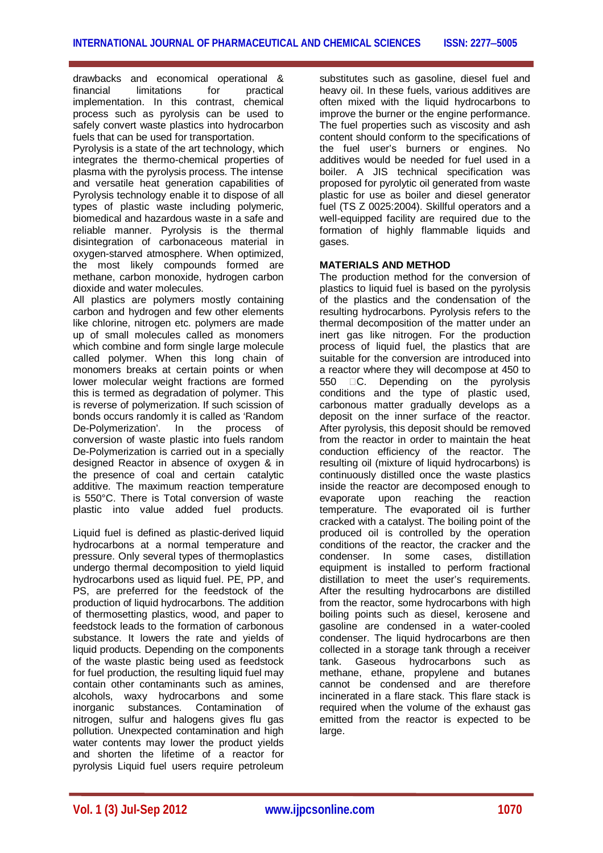drawbacks and economical operational & financial limitations for practical implementation. In this contrast, chemical process such as pyrolysis can be used to safely convert waste plastics into hydrocarbon fuels that can be used for transportation.

Pyrolysis is a state of the art technology, which integrates the thermo-chemical properties of plasma with the pyrolysis process. The intense and versatile heat generation capabilities of Pyrolysis technology enable it to dispose of all types of plastic waste including polymeric, biomedical and hazardous waste in a safe and reliable manner. Pyrolysis is the thermal disintegration of carbonaceous material in oxygen-starved atmosphere. When optimized, the most likely compounds formed are methane, carbon monoxide, hydrogen carbon dioxide and water molecules.

All plastics are polymers mostly containing carbon and hydrogen and few other elements like chlorine, nitrogen etc. polymers are made up of small molecules called as monomers which combine and form single large molecule called polymer. When this long chain of monomers breaks at certain points or when lower molecular weight fractions are formed this is termed as degradation of polymer. This is reverse of polymerization. If such scission of bonds occurs randomly it is called as 'Random De-Polymerization'. In the process of conversion of waste plastic into fuels random De-Polymerization is carried out in a specially designed Reactor in absence of oxygen & in the presence of coal and certain catalytic additive. The maximum reaction temperature is 550°C. There is Total conversion of waste plastic into value added fuel products.

Liquid fuel is defined as plastic-derived liquid hydrocarbons at a normal temperature and pressure. Only several types of thermoplastics undergo thermal decomposition to yield liquid hydrocarbons used as liquid fuel. PE, PP, and PS, are preferred for the feedstock of the production of liquid hydrocarbons. The addition of thermosetting plastics, wood, and paper to feedstock leads to the formation of carbonous substance. It lowers the rate and yields of liquid products. Depending on the components of the waste plastic being used as feedstock for fuel production, the resulting liquid fuel may contain other contaminants such as amines, alcohols, waxy hydrocarbons and some inorganic substances. Contamination of nitrogen, sulfur and halogens gives flu gas pollution. Unexpected contamination and high water contents may lower the product yields and shorten the lifetime of a reactor for pyrolysis Liquid fuel users require petroleum

substitutes such as gasoline, diesel fuel and heavy oil. In these fuels, various additives are often mixed with the liquid hydrocarbons to improve the burner or the engine performance. The fuel properties such as viscosity and ash content should conform to the specifications of the fuel user's burners or engines. No additives would be needed for fuel used in a boiler. A JIS technical specification was proposed for pyrolytic oil generated from waste plastic for use as boiler and diesel generator fuel (TS Z 0025:2004). Skillful operators and a well-equipped facility are required due to the formation of highly flammable liquids and gases.

# **MATERIALS AND METHOD**

The production method for the conversion of plastics to liquid fuel is based on the pyrolysis of the plastics and the condensation of the resulting hydrocarbons. Pyrolysis refers to the thermal decomposition of the matter under an inert gas like nitrogen. For the production process of liquid fuel, the plastics that are suitable for the conversion are introduced into a reactor where they will decompose at 450 to 550 C. Depending on the pyrolysis conditions and the type of plastic used, carbonous matter gradually develops as a deposit on the inner surface of the reactor. After pyrolysis, this deposit should be removed from the reactor in order to maintain the heat conduction efficiency of the reactor. The resulting oil (mixture of liquid hydrocarbons) is continuously distilled once the waste plastics inside the reactor are decomposed enough to evaporate upon reaching the reaction temperature. The evaporated oil is further cracked with a catalyst. The boiling point of the produced oil is controlled by the operation conditions of the reactor, the cracker and the condenser. In some cases, distillation equipment is installed to perform fractional distillation to meet the user's requirements. After the resulting hydrocarbons are distilled from the reactor, some hydrocarbons with high boiling points such as diesel, kerosene and gasoline are condensed in a water-cooled condenser. The liquid hydrocarbons are then collected in a storage tank through a receiver tank. Gaseous hydrocarbons such as methane, ethane, propylene and butanes cannot be condensed and are therefore incinerated in a flare stack. This flare stack is required when the volume of the exhaust gas emitted from the reactor is expected to be large.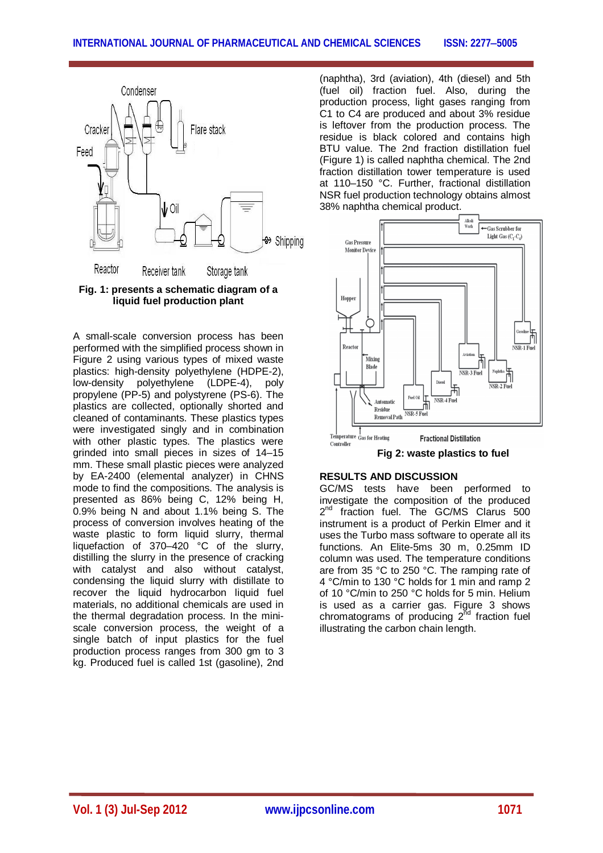



A small-scale conversion process has been performed with the simplified process shown in Figure 2 using various types of mixed waste plastics: high-density polyethylene (HDPE-2), low-density polyethylene (LDPE-4), poly propylene (PP-5) and polystyrene (PS-6). The plastics are collected, optionally shorted and cleaned of contaminants. These plastics types were investigated singly and in combination with other plastic types. The plastics were grinded into small pieces in sizes of 14–15 mm. These small plastic pieces were analyzed by EA-2400 (elemental analyzer) in CHNS mode to find the compositions. The analysis is presented as 86% being C, 12% being H, 0.9% being N and about 1.1% being S. The process of conversion involves heating of the waste plastic to form liquid slurry, thermal liquefaction of 370–420 °C of the slurry, distilling the slurry in the presence of cracking with catalyst and also without catalyst, condensing the liquid slurry with distillate to recover the liquid hydrocarbon liquid fuel materials, no additional chemicals are used in the thermal degradation process. In the miniscale conversion process, the weight of a single batch of input plastics for the fuel production process ranges from 300 gm to 3 kg. Produced fuel is called 1st (gasoline), 2nd

(naphtha), 3rd (aviation), 4th (diesel) and 5th (fuel oil) fraction fuel. Also, during the production process, light gases ranging from C1 to C4 are produced and about 3% residue is leftover from the production process. The residue is black colored and contains high BTU value. The 2nd fraction distillation fuel (Figure 1) is called naphtha chemical. The 2nd fraction distillation tower temperature is used at 110–150 °C. Further, fractional distillation NSR fuel production technology obtains almost 38% naphtha chemical product.

![](_page_2_Figure_5.jpeg)

**Fig 2: waste plastics to fuel**

## **RESULTS AND DISCUSSION**

GC/MS tests have been performed to investigate the composition of the produced 2<sup>nd</sup> fraction fuel. The GC/MS Clarus 500 instrument is a product of Perkin Elmer and it uses the Turbo mass software to operate all its functions. An Elite-5ms 30 m, 0.25mm ID column was used. The temperature conditions are from 35 °C to 250 °C. The ramping rate of 4 °C/min to 130 °C holds for 1 min and ramp 2 of 10 °C/min to 250 °C holds for 5 min. Helium is used as a carrier gas. Figure 3 shows chromatograms of producing  $2^{\text{nd}}$  fraction fuel illustrating the carbon chain length.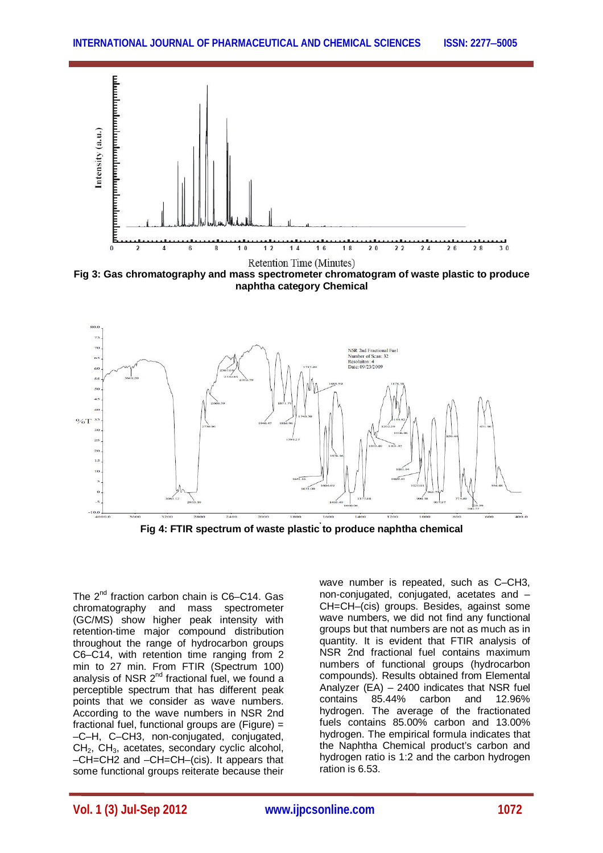![](_page_3_Figure_1.jpeg)

**Fig 3: Gas chromatography and mass spectrometer chromatogram of waste plastic to produce naphtha category Chemical**

![](_page_3_Figure_3.jpeg)

**Fig 4: FTIR spectrum of waste plastic to produce naphtha chemical**

The 2<sup>nd</sup> fraction carbon chain is C6–C14. Gas chromatography and mass spectrometer (GC/MS) show higher peak intensity with retention-time major compound distribution throughout the range of hydrocarbon groups C6–C14, with retention time ranging from 2 min to 27 min. From FTIR (Spectrum 100) analysis of NSR  $2^{nd}$  fractional fuel, we found a perceptible spectrum that has different peak points that we consider as wave numbers. According to the wave numbers in NSR 2nd fractional fuel, functional groups are (Figure) = –C–H, C–CH3, non-conjugated, conjugated, CH<sub>2</sub>, CH<sub>3</sub>, acetates, secondary cyclic alcohol, –CH=CH2 and –CH=CH–(cis). It appears that some functional groups reiterate because their

wave number is repeated, such as C–CH3, non-conjugated, conjugated, acetates and – CH=CH–(cis) groups. Besides, against some wave numbers, we did not find any functional groups but that numbers are not as much as in quantity. It is evident that FTIR analysis of NSR 2nd fractional fuel contains maximum numbers of functional groups (hydrocarbon compounds). Results obtained from Elemental Analyzer (EA) – 2400 indicates that NSR fuel contains 85.44% carbon and 12.96% hydrogen. The average of the fractionated fuels contains 85.00% carbon and 13.00% hydrogen. The empirical formula indicates that the Naphtha Chemical product's carbon and hydrogen ratio is 1:2 and the carbon hydrogen ration is 6.53.